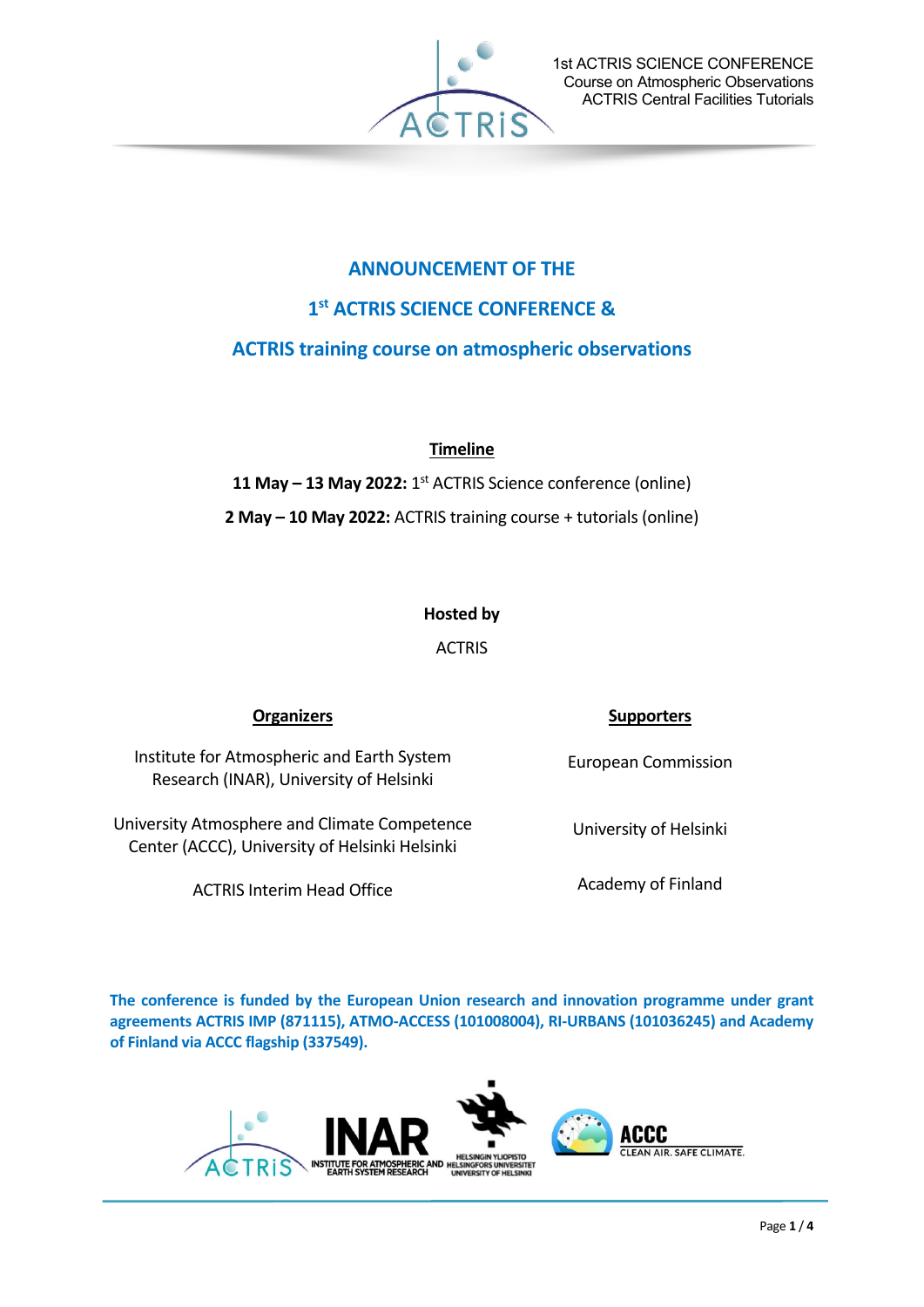

# **ANNOUNCEMENT OF THE 1st ACTRIS SCIENCE CONFERENCE &**

## **ACTRIS training course on atmospheric observations**

## **Timeline**

**11 May – 13 May 2022:** 1st ACTRIS Science conference (online) **2 May – 10 May 2022:** ACTRIS training course + tutorials (online)

## **Hosted by**

ACTRIS

Institute for Atmospheric and Earth System Research (INAR), University of Helsinki

University Atmosphere and Climate Competence Center (ACCC), University of Helsinki Helsinki

ACTRIS Interim Head Office Academy of Finland

## **Organizers Supporters**

European Commission

University of Helsinki

**The conference is funded by the European Union research and innovation programme under grant agreements ACTRIS IMP (871115), ATMO-ACCESS (101008004), RI-URBANS (101036245) and Academy of Finland via ACCC flagship (337549).**

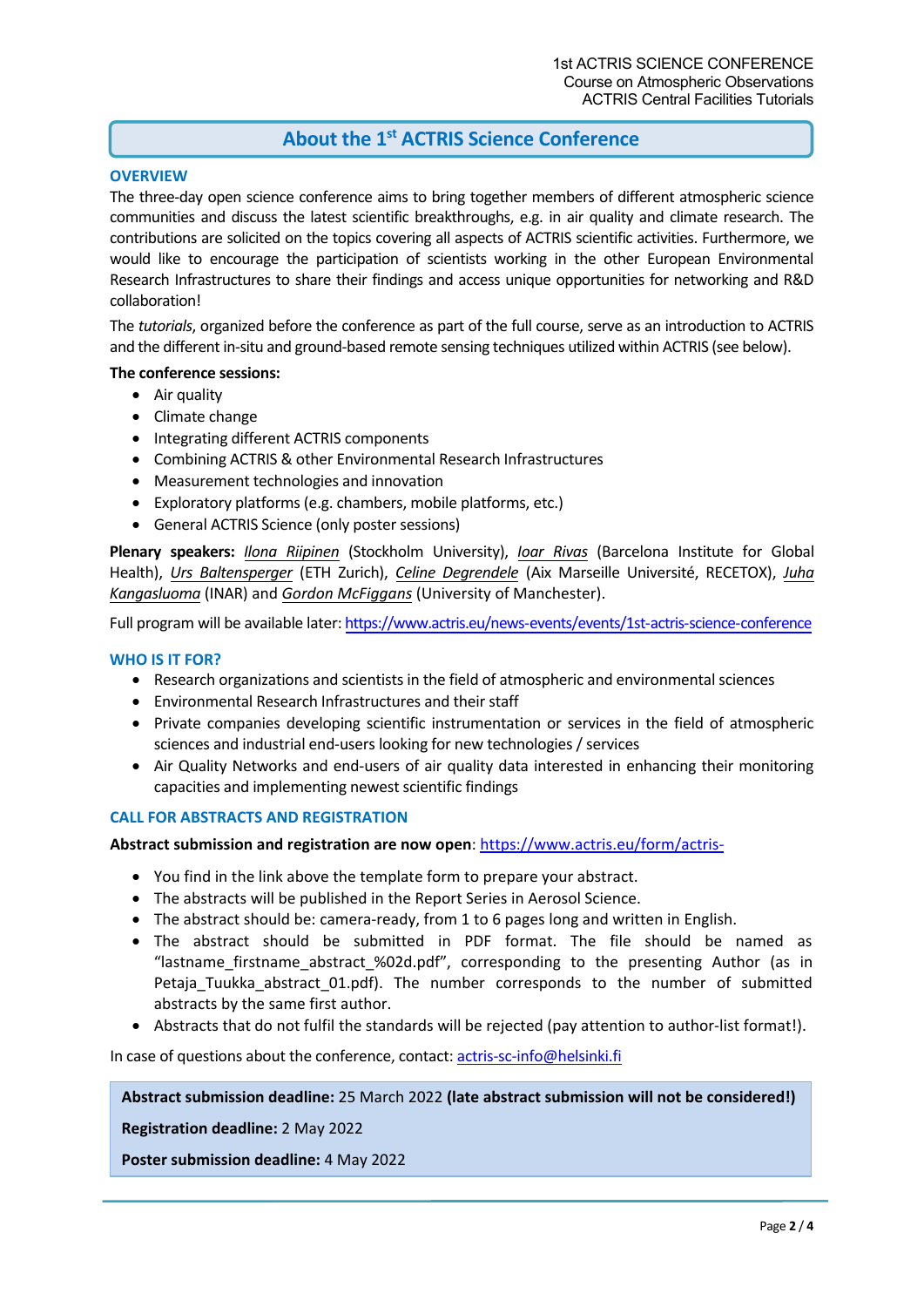## **About the 1st ACTRIS Science Conference**

### **OVERVIEW**

The three-day open science conference aims to bring together members of different atmospheric science communities and discuss the latest scientific breakthroughs, e.g. in air quality and climate research. The contributions are solicited on the topics covering all aspects of ACTRIS scientific activities. Furthermore, we would like to encourage the participation of scientists working in the other European Environmental Research Infrastructures to share their findings and access unique opportunities for networking and R&D collaboration!

The *tutorials*, organized before the conference as part of the full course, serve as an introduction to ACTRIS and the different in-situ and ground-based remote sensing techniques utilized within ACTRIS (see below).

#### **The conference sessions:**

- Air quality
- Climate change
- Integrating different ACTRIS components
- Combining ACTRIS & other Environmental Research Infrastructures
- Measurement technologies and innovation
- Exploratory platforms (e.g. chambers, mobile platforms, etc.)
- General ACTRIS Science (only poster sessions)

**Plenary speakers:** *Ilona Riipinen* (Stockholm University), *Ioar Rivas* (Barcelona Institute for Global Health), *Urs Baltensperger* (ETH Zurich), *Celine Degrendele* (Aix Marseille Université, RECETOX), *Juha Kangasluoma* (INAR) and *Gordon McFiggans* (University of Manchester).

Full program will be available later[: https://www.actris.eu/news-events/events/1st-actris-science-conference](https://www.actris.eu/news-events/events/1st-actris-science-conference)

#### **WHO IS IT FOR?**

- Research organizations and scientists in the field of atmospheric and environmental sciences
- Environmental Research Infrastructures and their staff
- Private companies developing scientific instrumentation or services in the field of atmospheric sciences and industrial end-users looking for new technologies / services
- Air Quality Networks and end-users of air quality data interested in enhancing their monitoring capacities and implementing newest scientific findings

#### **CALL FOR ABSTRACTS AND REGISTRATION**

**Abstract submission and registration are now open**:<https://www.actris.eu/form/actris->

- You find in the link above the template form to prepare your abstract.
- The abstracts will be published in the Report Series in Aerosol Science.
- The abstract should be: camera-ready, from 1 to 6 pages long and written in English.
- The abstract should be submitted in PDF format. The file should be named as "lastname\_firstname\_abstract\_%02d.pdf", corresponding to the presenting Author (as in Petaja Tuukka abstract 01.pdf). The number corresponds to the number of submitted abstracts by the same first author.
- Abstracts that do not fulfil the standards will be rejected (pay attention to author-list format!).

In case of questions about the conference, contact[: actris-sc-info@helsinki.fi](mailto:actris-sc-info@helsinki.fi)

#### **Abstract submission deadline:** 25 March 2022 **(late abstract submission will not be considered!)**

**Registration deadline:** 2 May 2022

**Poster submission deadline:** 4 May 2022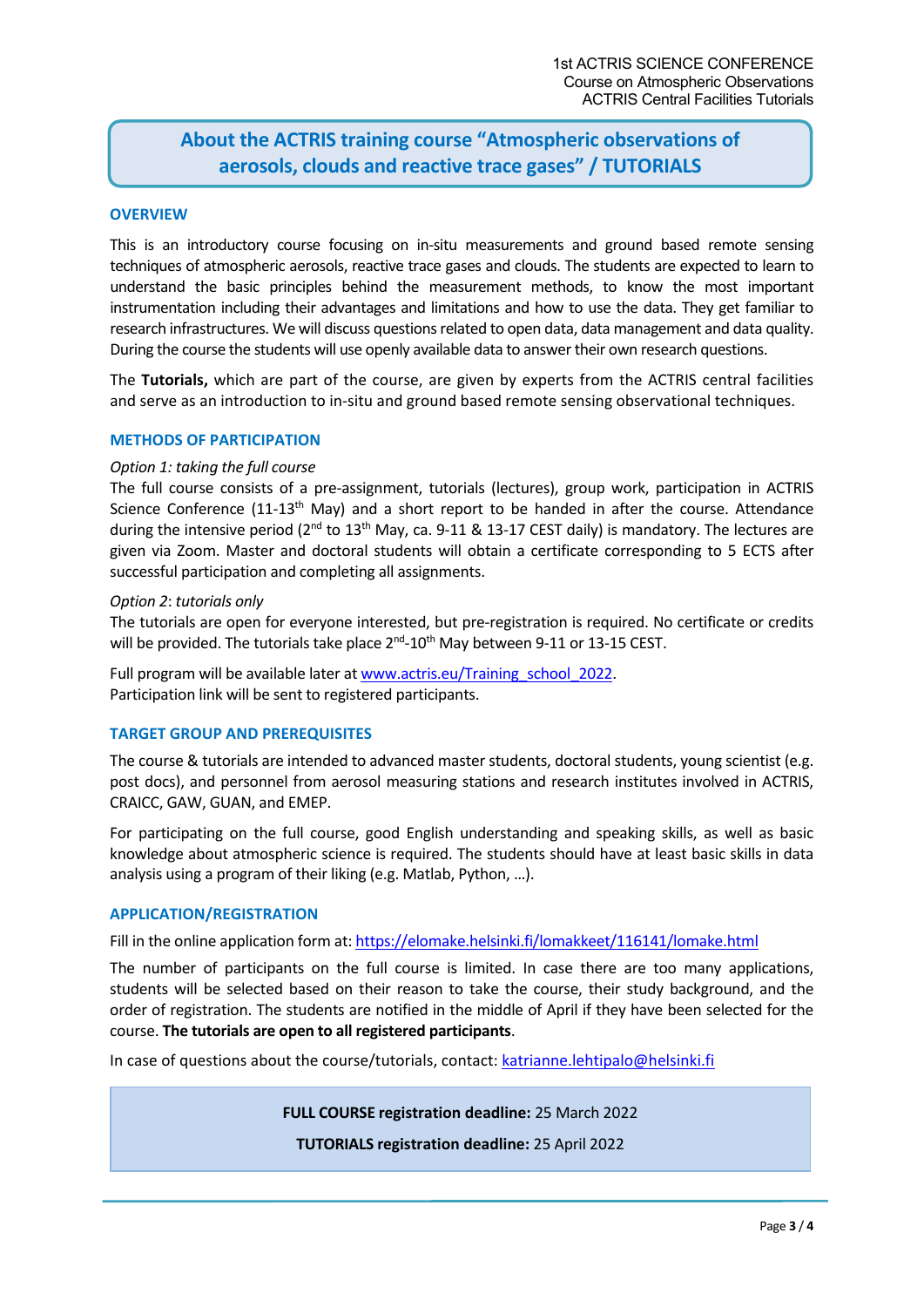## **About the ACTRIS training course "Atmospheric observations of aerosols, clouds and reactive trace gases" / TUTORIALS**

#### **OVERVIEW**

This is an introductory course focusing on in-situ measurements and ground based remote sensing techniques of atmospheric aerosols, reactive trace gases and clouds. The students are expected to learn to understand the basic principles behind the measurement methods, to know the most important instrumentation including their advantages and limitations and how to use the data. They get familiar to research infrastructures. We will discuss questions related to open data, data management and data quality. During the course the students will use openly available data to answer their own research questions.

The **Tutorials,** which are part of the course, are given by experts from the ACTRIS central facilities and serve as an introduction to in-situ and ground based remote sensing observational techniques.

#### **METHODS OF PARTICIPATION**

#### *Option 1: taking the full course*

The full course consists of a pre-assignment, tutorials (lectures), group work, participation in ACTRIS Science Conference  $(11-13<sup>th</sup>$  May) and a short report to be handed in after the course. Attendance during the intensive period ( $2^{nd}$  to  $13^{th}$  May, ca. 9-11 & 13-17 CEST daily) is mandatory. The lectures are given via Zoom. Master and doctoral students will obtain a certificate corresponding to 5 ECTS after successful participation and completing all assignments.

#### *Option 2*: *tutorials only*

The tutorials are open for everyone interested, but pre-registration is required. No certificate or credits will be provided. The tutorials take place 2<sup>nd</sup>-10<sup>th</sup> May between 9-11 or 13-15 CEST.

Full program will be available later at [www.actris.eu/Training\\_school\\_2022.](http://www.actris.eu/Training_school_2022) Participation link will be sent to registered participants.

#### **TARGET GROUP AND PREREQUISITES**

The course & tutorials are intended to advanced master students, doctoral students, young scientist (e.g. post docs), and personnel from aerosol measuring stations and research institutes involved in ACTRIS, CRAICC, GAW, GUAN, and EMEP.

For participating on the full course, good English understanding and speaking skills, as well as basic knowledge about atmospheric science is required. The students should have at least basic skills in data analysis using a program of their liking (e.g. Matlab, Python, …).

#### **APPLICATION/REGISTRATION**

Fill in the online application form at[: https://elomake.helsinki.fi/lomakkeet/116141/lomake.html](https://elomake.helsinki.fi/lomakkeet/116141/lomake.html)

The number of participants on the full course is limited. In case there are too many applications, students will be selected based on their reason to take the course, their study background, and the order of registration. The students are notified in the middle of April if they have been selected for the course. **The tutorials are open to all registered participants**.

In case of questions about the course/tutorials, contact: [katrianne.lehtipalo@helsinki.fi](mailto:katrianne.lehtipalo@helsinki.fi)

**FULL COURSE registration deadline:** 25 March 2022

**TUTORIALS registration deadline:** 25 April 2022